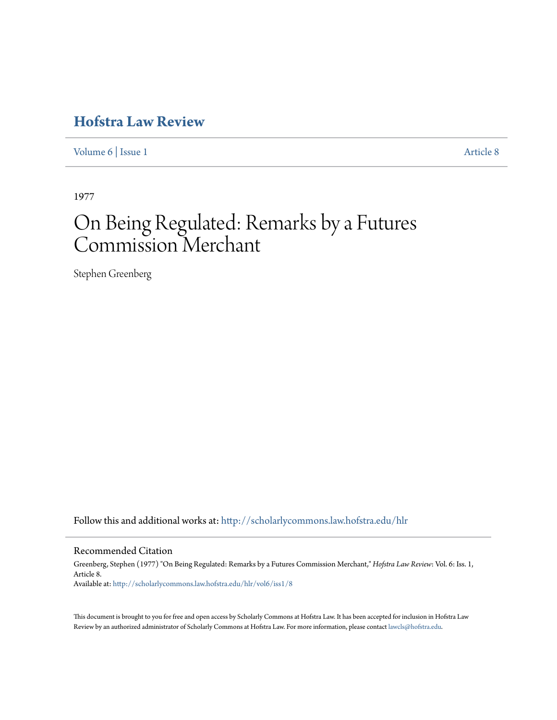## **[Hofstra Law Review](http://scholarlycommons.law.hofstra.edu/hlr?utm_source=scholarlycommons.law.hofstra.edu%2Fhlr%2Fvol6%2Fiss1%2F8&utm_medium=PDF&utm_campaign=PDFCoverPages)**

[Volume 6](http://scholarlycommons.law.hofstra.edu/hlr/vol6?utm_source=scholarlycommons.law.hofstra.edu%2Fhlr%2Fvol6%2Fiss1%2F8&utm_medium=PDF&utm_campaign=PDFCoverPages) | [Issue 1](http://scholarlycommons.law.hofstra.edu/hlr/vol6/iss1?utm_source=scholarlycommons.law.hofstra.edu%2Fhlr%2Fvol6%2Fiss1%2F8&utm_medium=PDF&utm_campaign=PDFCoverPages) [Article 8](http://scholarlycommons.law.hofstra.edu/hlr/vol6/iss1/8?utm_source=scholarlycommons.law.hofstra.edu%2Fhlr%2Fvol6%2Fiss1%2F8&utm_medium=PDF&utm_campaign=PDFCoverPages)

1977

## On Being Regulated: Remarks by a Futures Commission Merchant

Stephen Greenberg

Follow this and additional works at: [http://scholarlycommons.law.hofstra.edu/hlr](http://scholarlycommons.law.hofstra.edu/hlr?utm_source=scholarlycommons.law.hofstra.edu%2Fhlr%2Fvol6%2Fiss1%2F8&utm_medium=PDF&utm_campaign=PDFCoverPages)

Recommended Citation

Greenberg, Stephen (1977) "On Being Regulated: Remarks by a Futures Commission Merchant," *Hofstra Law Review*: Vol. 6: Iss. 1, Article 8. Available at: [http://scholarlycommons.law.hofstra.edu/hlr/vol6/iss1/8](http://scholarlycommons.law.hofstra.edu/hlr/vol6/iss1/8?utm_source=scholarlycommons.law.hofstra.edu%2Fhlr%2Fvol6%2Fiss1%2F8&utm_medium=PDF&utm_campaign=PDFCoverPages)

This document is brought to you for free and open access by Scholarly Commons at Hofstra Law. It has been accepted for inclusion in Hofstra Law Review by an authorized administrator of Scholarly Commons at Hofstra Law. For more information, please contact [lawcls@hofstra.edu](mailto:lawcls@hofstra.edu).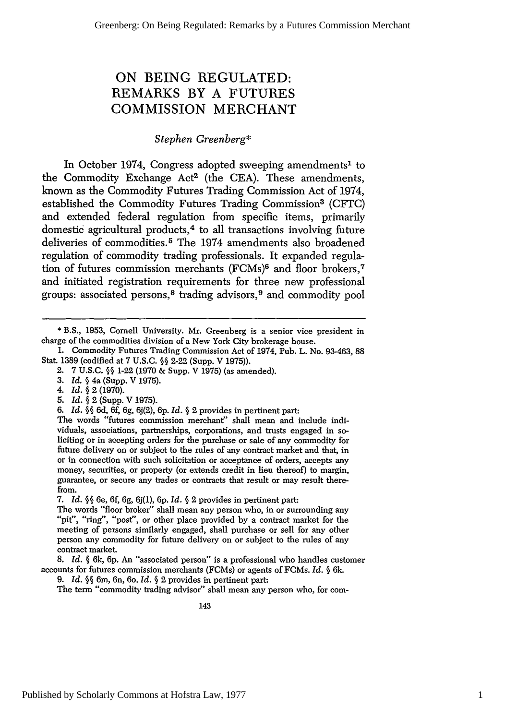## **ON BEING REGULATED:** REMARKS BY **A FUTURES** COMMISSION MERCHANT

## *Stephen Greenberg\**

In October 1974, Congress adopted sweeping amendments<sup>1</sup> to the Commodity Exchange Act<sup>2</sup> (the CEA). These amendments, known as the Commodity Futures Trading Commission Act of 1974, established the Commodity Futures Trading Commission3 (CFTC) and extended federal regulation from specific items, primarily domestic agricultural products,4 to all transactions involving future deliveries of commodities. 5 The 1974 amendments also broadened regulation of commodity trading professionals. It expanded regulation of futures commission merchants (FCMs)<sup>6</sup> and floor brokers,<sup>7</sup> and initiated registration requirements for three new professional groups: associated persons, 8 trading advisors, 9 and commodity pool

- 4. *Id.* **§** 2 (1970).
- 5. *Id. §* 2 (Supp. V 1975).
- *6. Id. §§* 6d, 6f, 6g, 6J(2), **6p.** *Id. §* 2 provides in pertinent part:

The words "futures commission merchant" shall mean and include individuals, associations, partnerships, corporations, and trusts engaged in so- liciting or in accepting orders for the purchase or sale of any commodity for future delivery on or subject to the rules of any contract market and that, in or in connection with such solicitation or acceptance of orders, accepts any money, securities, or property (or extends credit in lieu thereof) to margin, guarantee, or secure any trades or contracts that result or may result therefrom.

7. *Id.* **§§** 6e, 6f, 6g, 6j(1), 6p. *Id. §* 2 provides in pertinent part:

The words "floor broker" shall mean any person who, in or surrounding any "pit", "ring", "post", or other place provided by a contract market for the meeting of persons similarly engaged, shall purchase or sell for any other person any commodity for future delivery on or subject to the rules of any contract market.

8. *Id. §* 6k, 6p. An "associated person" is a professional who handles customer accounts for futures commission merchants (FCMs) or agents of FCMs. *Id. §* 6k.

9. *Id.* **§§** 6m, 6n, 6o. *Id. §* 2 provides in pertinent part:

The term "commodity trading advisor" shall mean any person who, for com-

<sup>\*</sup> B.S., 1953, Cornell University. Mr. Greenberg is a senior vice president in charge of the commodities division of a New York City brokerage house.

<sup>1.</sup> Commodity Futures Trading Commission Act of 1974, Pub. L. No. 93-463, 88 Stat. **1389** (codified at 7 U.S.C. *§* 2-22 (Supp. V 1975)).

<sup>2. 7</sup> U.S.C. *§§* 1-22 (1970 & Supp. V 1975) (as amended).

*<sup>3.</sup> Id.* **§** 4a (Supp. V 1975).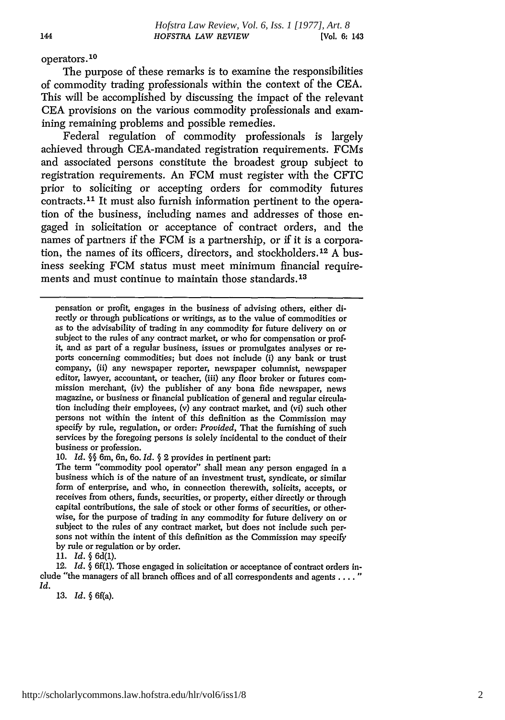operators.<sup>10</sup>

The purpose of these remarks is to examine the responsibilities of commodity trading professionals within the context of the **CEA.** This will be accomplished **by** discussing the impact of the relevant **CEA** provisions on the various commodity professionals and examining remaining problems and possible remedies.

Federal regulation of commodity professionals is largely achieved through CEA-mandated registration requirements. FCMs and associated persons constitute the broadest group subject to registration requirements. An FCM must register with the CFIC prior to soliciting or accepting orders for commodity futures contracts.<sup>11</sup> It must also furnish information pertinent to the operation of the business, including names and addresses of those engaged in solicitation or acceptance of contract orders, and the names of partners if the FCM is a partnership, or if it is a corporation, the names of its officers, directors, and stockholders. <sup>12</sup>**A** business seeking FCM status must meet minimum financial requirements and must continue to maintain those standards.<sup>13</sup>

**10.** *Id.* **§§** 6m, 6n, 6o. *Id.* **§** 2 provides in pertinent part:

*11. Id.* § 6d(l).

12. *Id.* **§** 6f(1). Those engaged in solicitation or acceptance of contract orders include "the managers of all branch offices and of all correspondents and agents **......** *Id.*

**13.** *Id. §* 6f(a).

pensation or profit, engages in the business of advising others, either directly or through publications or writings, as to the value of commodities or as to the advisability of trading in any commodity for future delivery on or subject to the rules of any contract market, or who for compensation or profit, and as part of a regular business, issues or promulgates analyses or reports concerning commodities; but does not include (i) any bank or trust company, (ii) any newspaper reporter, newspaper columnist, newspaper editor, lawyer, accountant, or teacher, (iii) any floor broker or futures com-<br>mission merchant, (iv) the publisher of any bona fide newspaper, news magazine, or business or financial publication of general and regular circulation including their employees, (v) any contract market, and (vi) such other persons not within the intent of this definition as the Commission may specify **by** rule, regulation, or order: *Provided,* That the furnishing of such services **by** the foregoing persons is solely incidental to the conduct of their business or profession.

The term "commodity pool operator" shall mean any person engaged in a business which is of the nature of an investment trust, syndicate, or similar form of enterprise, and who, in connection therewith, solicits, accepts, or receives from others, funds, securities, or property, either directly or through capital contributions, the sale of stock or other forms of securities, or otherwise, for the purpose of trading in any commodity for future delivery on or subject to the rules of any contract market, but does not include such persons not within the intent of this definition as the Commission may specify by rule or regulation or by order.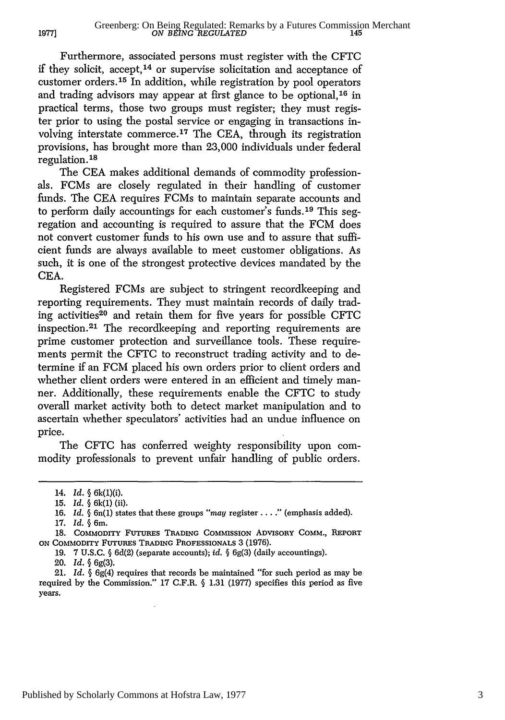Furthermore, associated persons must register with the CFTC if they solicit, accept,<sup>14</sup> or supervise solicitation and acceptance of customer orders. 15 In addition, while registration by pool operators and trading advisors may appear at first glance to be optional, 16 in practical terms, those two groups must register; they must register prior to using the postal service or engaging in transactions involving interstate commerce. 17 The CEA, through its registration provisions, has brought more than 23,000 individuals under federal regulation. **<sup>18</sup>**

The CEA makes additional demands of commodity professionals. FCMs are closely regulated in their handling of customer funds. The **CEA** requires FCMs to maintain separate accounts and to perform daily accountings for each customer's funds. 19 This segregation and accounting is required to assure that the FCM does not convert customer funds to his own use and to assure that sufficient funds are always available to meet customer obligations. As such, it is one of the strongest protective devices mandated by the CEA.

Registered FCMs are subject to stringent recordkeeping and reporting requirements. They must maintain records of daily trading activities20 and retain them for five years for possible CFTC inspection. 21 The recordkeeping and reporting requirements are prime customer protection and surveillance tools. These requirements permit the CFTC to reconstruct trading activity and to determine if an FCM placed his own orders prior to client orders and whether client orders were entered in an efficient and timely manner. Additionally, these requirements enable the CFTC to study overall market activity both to detect market manipulation and to ascertain whether speculators' activities had an undue influence on price.

The CFTC has conferred weighty responsibility upon commodity professionals to prevent unfair handling of public orders.

17. *Id.* § 6m.

**1977]**

19. 7 U.S.C. § 6d(2) (separate accounts); *id.* § 6g(3) (daily accountings).

20. *Id.* § 6g(3).

21. *Id.* § 6g(4) requires that records be maintained "for such period as may be required by the Commission." 17 C.F.R.  $\S$  1.31 (1977) specifies this period as five years.

**<sup>14.</sup>** *id. §* 6k(i)(i).

<sup>15.</sup> *Id.* § 6k(1) (ii).

<sup>16.</sup> *Id.* § 6n(1) states that these groups *"may* register **.... "** (emphasis added).

**<sup>18.</sup>** COMMODITY **FUTURES TRADING** COMMISSION ADVISORY COMM., REPORT **ON** COMMODITY **FUTuRES** TRADING PROFESSIONALS 3 (1976).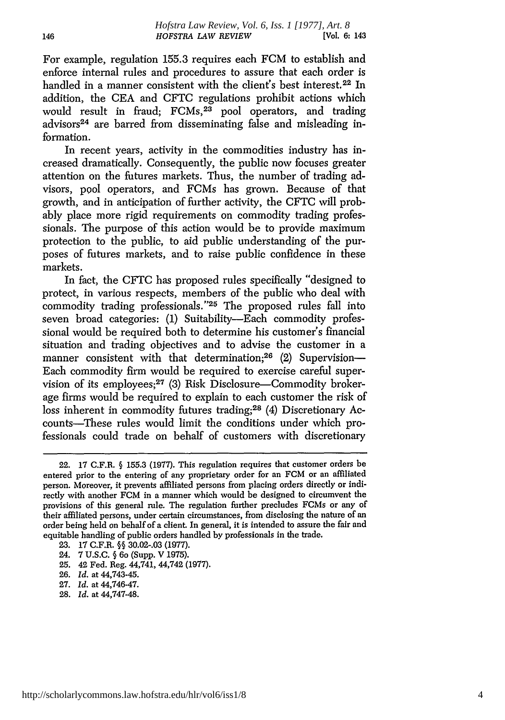For example, regulation 155.3 requires each FCM to establish and enforce internal rules and procedures to assure that each order is handled in a manner consistent with the client's best interest.<sup>22</sup> In addition, the CEA and CFTC regulations prohibit actions which would result in fraud;  $FCMs<sup>23</sup>$  pool operators, and trading advisors<sup>24</sup> are barred from disseminating false and misleading information.

In recent years, activity in the commodities industry has increased dramatically. Consequently, the public now focuses greater attention on the futures markets. Thus, the number of trading advisors, pool operators, and FCMs has grown. Because of that growth, and in anticipation of further activity, the CFTC will probably place more rigid requirements on commodity trading professionals. The purpose of this action would be to provide maximum protection to the public, to aid public understanding of the purposes of futures markets, and to raise public confidence in these markets.

In fact, the CFTC has proposed rules specifically "designed to protect, in various respects, members of the public who deal with commodity trading professionals."<sup>25</sup> The proposed rules fall into seven broad categories: (1) Suitability-Each commodity professional would be required both to determine his customer's financial situation and trading objectives and to advise the customer in a manner consistent with that determination;<sup>26</sup> (2) Supervision-Each commodity firm would be required to exercise careful supervision of its employees;<sup>27</sup> (3) Risk Disclosure-Commodity brokerage firms would be required to explain to each customer the risk of loss inherent in commodity futures trading;28 (4) Discretionary Accounts-These rules would limit the conditions under which professionals could trade on behalf of customers with discretionary

<sup>22. 17</sup> C.F.R. § 155.3 (1977). This regulation requires that customer orders be entered prior to the entering of any proprietary order for an FCM or an affiliated person. Moreover, it prevents affiliated persons from placing orders directly or indirectly with another FCM in a manner which would be designed to circumvent the provisions of this general rule. The regulation further precludes FCMs or any of their affiliated persons, under certain circumstances, from disclosing the nature of an order being held on behalf of a client. In general, it is intended to assure the fair and equitable handling of public orders handled by professionals in the trade.

<sup>23. 17</sup> C.F.R. §§ 30.02-.03 (1977).

<sup>24. 7</sup> U.S.C. § 6o (Supp. V 1975).

<sup>25. 42</sup> Fed. Reg. 44,741, 44,742 (1977).

<sup>26.</sup> *Id.* at 44,743-45.

<sup>27.</sup> *Id.* at 44,746-47.

<sup>28.</sup> *Id.* at 44,747-48.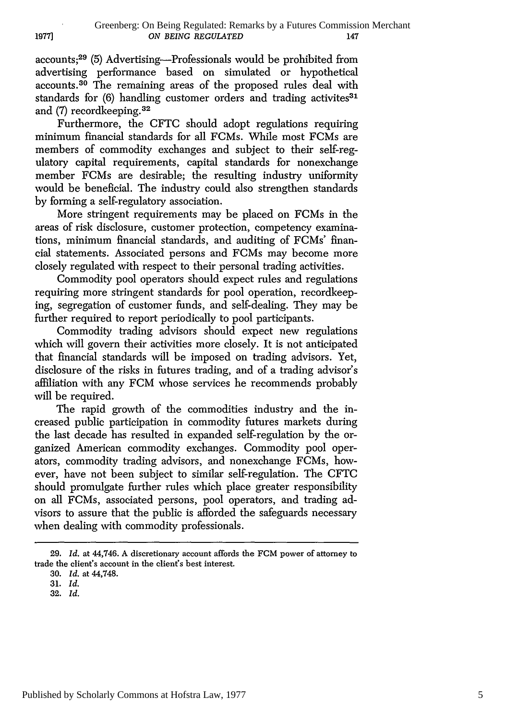accounts;<sup>29</sup> (5) Advertising—Professionals would be prohibited from advertising performance based on simulated or hypothetical accounts. 30 The remaining areas of the proposed rules deal with standards for (6) handling customer orders and trading activites<sup>31</sup> and (7) recordkeeping. <sup>32</sup>

Furthermore, the CFTC should adopt regulations requiring minimum financial standards for all FCMs. While most FCMs are members of commodity exchanges and subject to their self-regulatory capital requirements, capital standards for nonexchange member FCMs are desirable; the resulting industry uniformity would be beneficial. The industry could also strengthen standards by forming a self-regulatory association.

More stringent requirements may be placed on FCMs in the areas of risk disclosure, customer protection, competency examinations, minimum financial standards, and auditing of FCMs' financial statements. Associated persons and FCMs may become more closely regulated with respect to their personal trading activities.

Commodity pool operators should expect rules and regulations requiring more stringent standards for pool operation, recordkeeping, segregation of customer funds, and self-dealing. They may be further required to report periodically to pool participants.

Commodity trading advisors should expect new regulations which will govern their activities more closely. It is not anticipated that financial standards will be imposed on trading advisors. Yet, disclosure of the risks in futures trading, and of a trading advisor's affiliation with any FCM whose services he recommends probably will be required.

The rapid growth of the commodities industry and the increased public participation in commodity futures markets during the last decade has resulted in expanded self-regulation by the organized American commodity exchanges. Commodity pool operators, commodity trading advisors, and nonexchange FCMs, however, have not been subject to similar self-regulation. The CFTC should promulgate further rules which place greater responsibility on all FCMs, associated persons, pool operators, and trading advisors to assure that the public is afforded the safeguards necessary when dealing with commodity professionals.

<sup>29.</sup> *Id.* at 44,746. A discretionary account affords the FCM power of attorney to trade the client's account in the client's best interest.

<sup>30.</sup> *Id.* at 44,748.

<sup>31.</sup> *Id.*

<sup>32.</sup> *Id.*